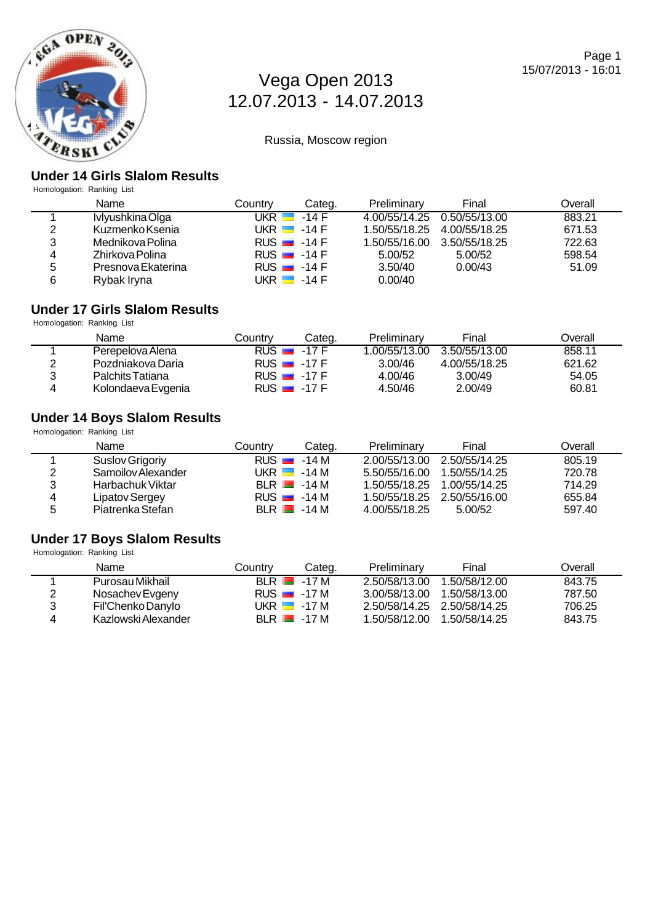

Russia, Moscow region

### **Under 14 Girls Slalom Results**

Homologation: Ranking List

|   | Name               | Countrv        | Categ.                   | Preliminary   | Final                        | Overall |
|---|--------------------|----------------|--------------------------|---------------|------------------------------|---------|
|   | Ivlyushkina Olga   | UKR <b>E</b> I | $-14$ F                  |               | 4.00/55/14.25  0.50/55/13.00 | 883.21  |
| 2 | Kuzmenko Ksenia    |                | UKR $\blacksquare$ -14 F | 1.50/55/18.25 | 4.00/55/18.25                | 671.53  |
| 3 | Mednikova Polina   |                | RUS $-14F$               | 1.50/55/16.00 | 3.50/55/18.25                | 722.63  |
| 4 | Zhirkova Polina    |                | RUS $-14F$               | 5.00/52       | 5.00/52                      | 598.54  |
| 5 | Presnova Ekaterina |                | RUS $-14F$               | 3.50/40       | 0.00/43                      | 51.09   |
| 6 | Rybak Iryna        |                | UKR ██ -14 F             | 0.00/40       |                              |         |

#### **Under 17 Girls Slalom Results**

Homologation: Ranking List

|   | Name               | Countrv                  | Cateɑ. | Preliminary  | Final         | Overall |
|---|--------------------|--------------------------|--------|--------------|---------------|---------|
|   | Perepelova Alena   | $RUS = 17F$              |        | .00/55/13.00 | 3.50/55/13.00 | 858.11  |
|   | Pozdniakova Daria  | $RUS = 17F$              |        | 3.00/46      | 4.00/55/18.25 | 621.62  |
|   | Palchits Tatiana   | RUS $\blacksquare$ -17 F |        | 4.00/46      | 3.00/49       | 54.05   |
| 4 | Kolondaeva Evgenia | RUS $-17F$               |        | 4.50/46      | 2.00/49       | 60.81   |

### **Under 14 Boys Slalom Results**

Homologation: Ranking List

|   | Name               | Countrv                  | Categ. | Preliminary                 | Final         | Overall |
|---|--------------------|--------------------------|--------|-----------------------------|---------------|---------|
|   | Suslov Grigoriy    | $RUS = -14 M$            |        | 2.00/55/13.00 2.50/55/14.25 |               | 805.19  |
| 2 | Samoilov Alexander | UKR $\blacksquare$ -14 M |        | 5.50/55/16.00               | 1.50/55/14.25 | 720.78  |
| 3 | Harbachuk Viktar   | $BLR$ $-14M$             |        | 1.50/55/18.25               | 1.00/55/14.25 | 714.29  |
| 4 | Lipatov Sergey     | $RUS = -14 M$            |        | 1.50/55/18.25 2.50/55/16.00 |               | 655.84  |
| 5 | Piatrenka Stefan   | $BI R = 14 M$            |        | 4.00/55/18.25               | 5.00/52       | 597.40  |

#### **Under 17 Boys Slalom Results**

| Homologation: Ranking List |                     |                          |        |                             |               |         |
|----------------------------|---------------------|--------------------------|--------|-----------------------------|---------------|---------|
|                            | Name                | Country                  | Categ. | Preliminary                 | Final         | Overall |
|                            | Purosau Mikhail     | $BLR$ $-17M$             |        | 2.50/58/13.00               | 1.50/58/12.00 | 843.75  |
| 2                          | Nosachev Evgeny     | $RUS = 17 M$             |        | 3.00/58/13.00               | 1.50/58/13.00 | 787.50  |
| 3                          | Fil'Chenko Danylo   | UKR $\blacksquare$ -17 M |        | 2.50/58/14.25 2.50/58/14.25 |               | 706.25  |
| 4                          | Kazlowski Alexander | $BLR$ $-17M$             |        | 1.50/58/12.00               | 1.50/58/14.25 | 843.75  |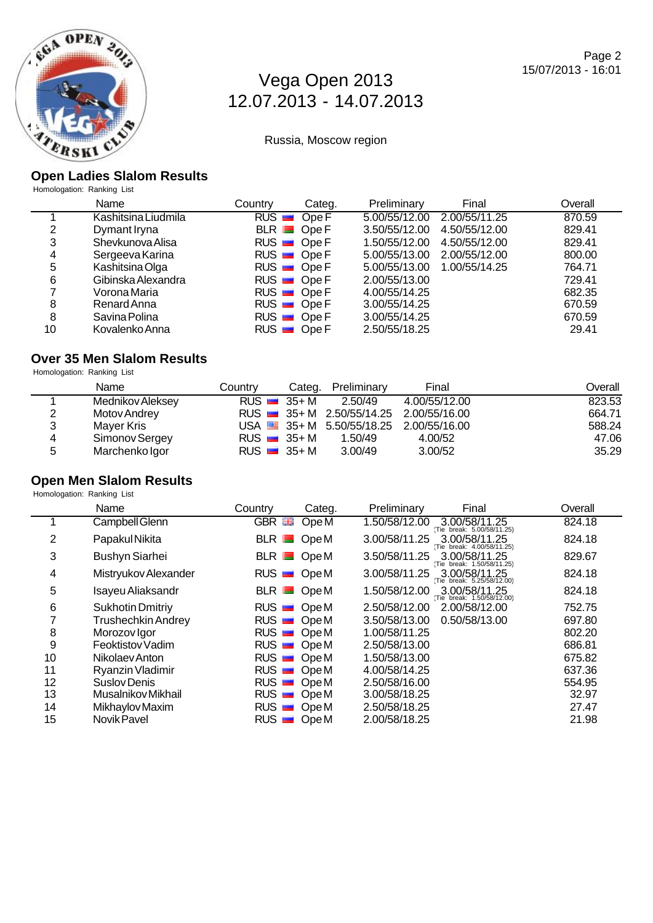

Russia, Moscow region

### **Open Ladies Slalom Results**

Homologation: Ranking List

|    | Name                | Country | Categ.      | Preliminary   | Final         | Overall |
|----|---------------------|---------|-------------|---------------|---------------|---------|
|    | Kashitsina Liudmila |         | $RUS$ Ope F | 5.00/55/12.00 | 2.00/55/11.25 | 870.59  |
| 2  | Dymant Iryna        |         | $BLR$ Ope F | 3.50/55/12.00 | 4.50/55/12.00 | 829.41  |
| 3  | Shevkunova Alisa    |         | $RUS$ Ope F | 1.50/55/12.00 | 4.50/55/12.00 | 829.41  |
| 4  | Sergeeva Karina     |         | $RUS$ Ope F | 5.00/55/13.00 | 2.00/55/12.00 | 800.00  |
| 5  | Kashitsina Olga     |         | $RUS$ Ope F | 5.00/55/13.00 | 1.00/55/14.25 | 764.71  |
| 6  | Gibinska Alexandra  |         | $RUS$ Ope F | 2.00/55/13.00 |               | 729.41  |
|    | Vorona Maria        |         | $RUS$ Ope F | 4.00/55/14.25 |               | 682.35  |
| 8  | Renard Anna         |         | $RUS$ Ope F | 3.00/55/14.25 |               | 670.59  |
| 8  | Savina Polina       |         | $RUS$ Ope F | 3.00/55/14.25 |               | 670.59  |
| 10 | Kovalenko Anna      |         | $RUS$ Ope F | 2.50/55/18.25 |               | 29.41   |

## **Over 35 Men Slalom Results**

Homologation: Ranking List

|                | Name             | Country                  | Categ. Preliminary | Final                                          | Overall |
|----------------|------------------|--------------------------|--------------------|------------------------------------------------|---------|
|                | Mednikov Aleksey | $RUS = 35 + M$           | 2.50/49            | 4.00/55/12.00                                  | 823.53  |
| $\overline{2}$ | Motov Andrey     |                          |                    | RUS 35+ M 2.50/55/14.25 2.00/55/16.00          | 664.71  |
| 3              | Maver Kris       |                          |                    | USA $\equiv$ 35+ M 5.50/55/18.25 2.00/55/16.00 | 588.24  |
| $\overline{4}$ | Simonov Sergey   | RUS $\equiv$ 35+ M       | 1.50/49            | 4.00/52                                        | 47.06   |
| 5              | Marchenko Igor   | RUS $\blacksquare$ 35+ M | 3.00/49            | 3.00/52                                        | 35.29   |

#### **Open Men Slalom Results** Homologation: Ranking List

|                 | Name                      | Country              | Categ.           | Final<br>Preliminary                                         | Overall |
|-----------------|---------------------------|----------------------|------------------|--------------------------------------------------------------|---------|
|                 | Campbell Glenn            | GBR <b>品</b>         | Ope <sub>M</sub> | 1.50/58/12.00<br>3.00/58/11.25<br>(Tie break: 5.00/58/11.25) | 824.18  |
| 2               | Papakul Nikita            |                      | $BLR$ OpeM       | 3.00/58/11.25<br>3.00/58/11.25<br>(Tie break: 4.00/58/11.25) | 824.18  |
| 3               | <b>Bushyn Siarhei</b>     | $BLR$ $\blacksquare$ | Ope M            | 3.00/58/11.25<br>3.50/58/11.25<br>(Tie break: 1.50/58/11.25) | 829.67  |
| 4               | Mistryukov Alexander      |                      | $RUS$ OpeM       | 3.00/58/11.25<br>3.00/58/11.25<br>(Tie break: 5.25/58/12.00) | 824.18  |
| 5               | Isayeu Aliaksandr         |                      | $BLR$ OpeM       | 1.50/58/12.00<br>3.00/58/11.25<br>Tie break: 1.50/58/12.00)  | 824.18  |
| $6\phantom{1}6$ | <b>Sukhotin Dmitriy</b>   |                      | $RUS$ OpeM       | 2.00/58/12.00<br>2.50/58/12.00                               | 752.75  |
| 7               | <b>Trushechkin Andrey</b> |                      | $RUS$ OpeM       | 0.50/58/13.00<br>3.50/58/13.00                               | 697.80  |
| 8               | Morozov Igor              |                      | $RUS$ OpeM       | 1.00/58/11.25                                                | 802.20  |
| 9               | Feoktistov Vadim          | $RUS$ $\blacksquare$ | Ope M            | 2.50/58/13.00                                                | 686.81  |
| 10              | Nikolaev Anton            | $RUS$ $\blacksquare$ | Ope M            | 1.50/58/13.00                                                | 675.82  |
| 11              | Ryanzin Vladimir          | RUS                  | Ope M            | 4.00/58/14.25                                                | 637.36  |
| 12              | Suslov Denis              | RUS                  | Ope M            | 2.50/58/16.00                                                | 554.95  |
| 13              | Musalnikov Mikhail        | RUS                  | Ope M            | 3.00/58/18.25                                                | 32.97   |
| 14              | Mikhaylov Maxim           | $RUS$ $\blacksquare$ | Ope M            | 2.50/58/18.25                                                | 27.47   |
| 15              | Novik Pavel               | RUS                  | Ope M            | 2.00/58/18.25                                                | 21.98   |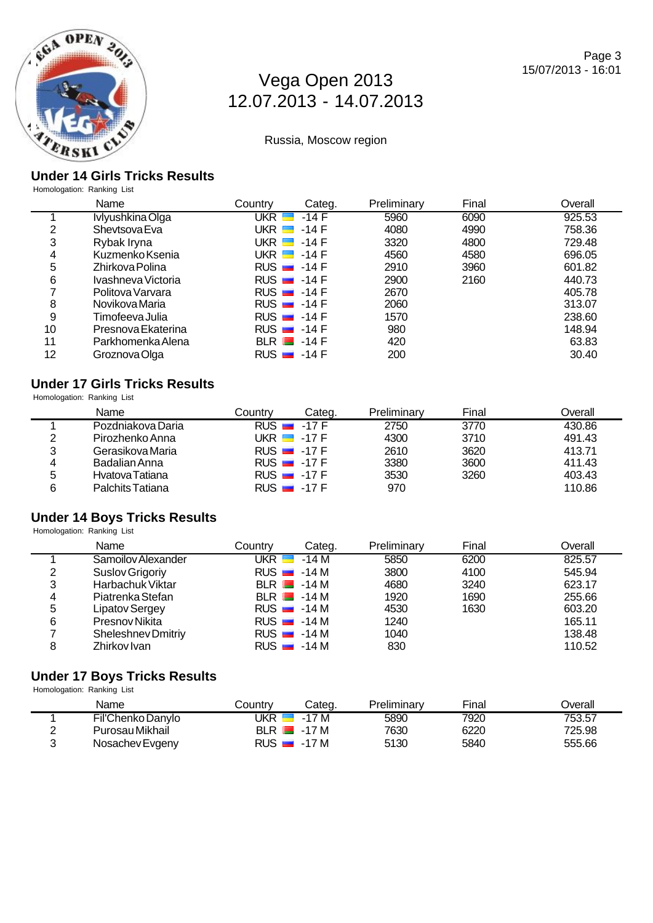

Russia, Moscow region

### **Under 14 Girls Tricks Results**

Homologation: Ranking List

|    | Name               | Country | Categ.                   | Preliminary | Final | Overall |
|----|--------------------|---------|--------------------------|-------------|-------|---------|
|    | Ivlyushkina Olga   | UKR I   | -14 F                    | 5960        | 6090  | 925.53  |
| 2  | Shevtsova Eva      | UKR I I | -14 F                    | 4080        | 4990  | 758.36  |
| 3  | Rybak Iryna        |         | UKR ██ -14 F             | 3320        | 4800  | 729.48  |
| 4  | Kuzmenko Ksenia    |         | UKR $\blacksquare$ -14 F | 4560        | 4580  | 696.05  |
| 5  | Zhirkova Polina    |         | RUS $\blacksquare$ -14 F | 2910        | 3960  | 601.82  |
| 6  | Ivashneva Victoria |         | RUS $-14$ F              | 2900        | 2160  | 440.73  |
| ⇁  | Politova Varvara   |         | RUS $-14$ F              | 2670        |       | 405.78  |
| 8  | Novikova Maria     |         | RUS $-14$ F              | 2060        |       | 313.07  |
| 9  | Timofeeva Julia    |         | RUS $-14F$               | 1570        |       | 238.60  |
| 10 | Presnova Ekaterina |         | RUS $-14$ F              | 980         |       | 148.94  |
| 11 | Parkhomenka Alena  |         | BLR $\blacksquare$ -14 F | 420         |       | 63.83   |
| 12 | Groznova Olga      |         | RUS $-14$ F              | 200         |       | 30.40   |

### **Under 17 Girls Tricks Results**

Homologation: Ranking List

|   | Name              | Countrv | Categ.                   | Preliminary | Final | Overall |
|---|-------------------|---------|--------------------------|-------------|-------|---------|
|   | Pozdniakova Daria |         | $RUS = 17F$              | 2750        | 3770  | 430.86  |
| 2 | Pirozhenko Anna   |         | UKR $\blacksquare$ -17 F | 4300        | 3710  | 491.43  |
| 3 | Gerasikova Maria  |         | $RUS = 17F$              | 2610        | 3620  | 413.71  |
| 4 | Badalian Anna     |         | RUS $-17F$               | 3380        | 3600  | 411.43  |
| 5 | Hvatova Tatiana   |         | RUS $\blacksquare$ -17 F | 3530        | 3260  | 403.43  |
| 6 | Palchits Tatiana  |         | RUS $\blacksquare$ -17 F | 970         |       | 110.86  |

## **Under 14 Boys Tricks Results**

Homologation: Ranking List

|   | Name                      | Country      | Categ.                   | Preliminary | Final | Overall |
|---|---------------------------|--------------|--------------------------|-------------|-------|---------|
|   | Samoilov Alexander        | UKR <b>E</b> | -14 M                    | 5850        | 6200  | 825.57  |
| 2 | Suslov Grigoriy           |              | $RUS = -14 M$            | 3800        | 4100  | 545.94  |
| 3 | Harbachuk Viktar          |              | BLR $\blacksquare$ -14 M | 4680        | 3240  | 623.17  |
| 4 | Piatrenka Stefan          |              | $BLR$ $-14M$             | 1920        | 1690  | 255.66  |
| 5 | Lipatov Sergey            |              | RUS $-14M$               | 4530        | 1630  | 603.20  |
| 6 | Presnov Nikita            |              | $RUS = -14 M$            | 1240        |       | 165.11  |
|   | <b>Sheleshnev Dmitriy</b> |              | $RUS = -14 M$            | 1040        |       | 138.48  |
| 8 | Zhirkov Ivan              |              | $RUS = -14 M$            | 830         |       | 110.52  |

#### **Under 17 Boys Tricks Results** Homologation: Ranking List

|   | Name              | Countrv | Categ.                   | Preliminary | Final | Overall |
|---|-------------------|---------|--------------------------|-------------|-------|---------|
|   | Fil'Chenko Danylo |         | UKR $\blacksquare$ -17 M | 5890        | 7920  | 753.57  |
|   | Purosau Mikhail   |         | BIR 17M                  | 7630        | 6220  | 725.98  |
| ົ | Nosachev Evgeny   |         | RUS $\blacksquare$ -17 M | 5130        | 5840  | 555.66  |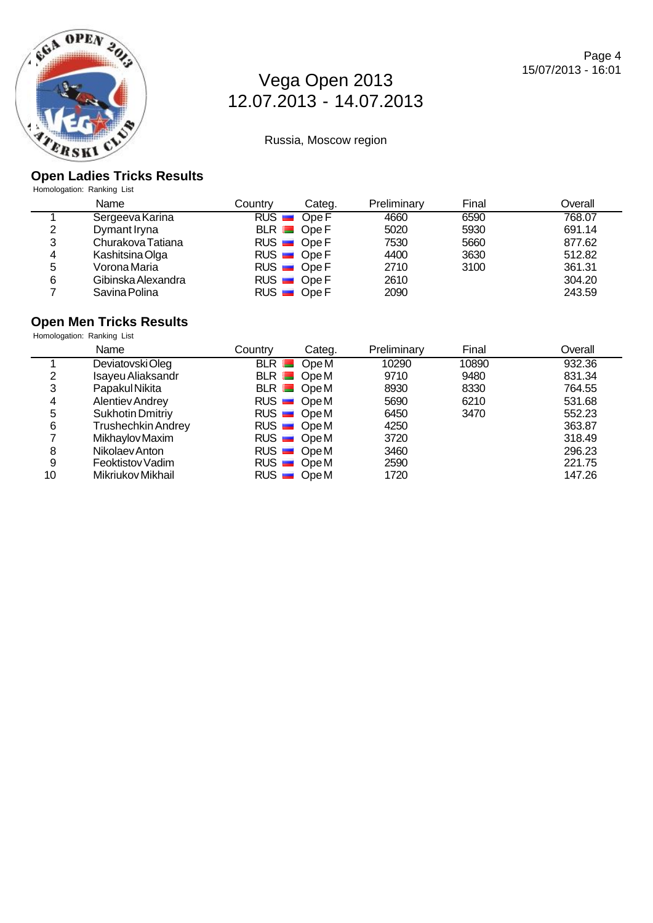

Russia, Moscow region

#### **Open Ladies Tricks Results**

Homologation: Ranking List

|   | Name               | Countrv | Categ.      | Preliminary | Final | Overall |
|---|--------------------|---------|-------------|-------------|-------|---------|
|   | Sergeeva Karina    |         | $RUS$ Ope F | 4660        | 6590  | 768.07  |
| 2 | Dymant Iryna       |         | $BLR$ Ope F | 5020        | 5930  | 691.14  |
| 3 | Churakova Tatiana  |         | $RUS$ Ope F | 7530        | 5660  | 877.62  |
| 4 | Kashitsina Olga    |         | $RUS$ Ope F | 4400        | 3630  | 512.82  |
| 5 | Vorona Maria       |         | $RUS$ Ope F | 2710        | 3100  | 361.31  |
| 6 | Gibinska Alexandra |         | $RUS$ Ope F | 2610        |       | 304.20  |
|   | Savina Polina      |         | $RUS$ Ope F | 2090        |       | 243.59  |

# **Open Men Tricks Results**

Homologation: Ranking List

|    | Name                      | Country | Categ.      | Preliminary | Final | Overall |
|----|---------------------------|---------|-------------|-------------|-------|---------|
|    | Deviatovski Oleg          |         | BLR OpeM    | 10290       | 10890 | 932.36  |
| っ  | Isayeu Aliaksandr         |         | $BLR$ OpeM  | 9710        | 9480  | 831.34  |
| 3  | Papakul Nikita            |         | $BLR$ OpeM  | 8930        | 8330  | 764.55  |
| 4  | <b>Alentiev Andrey</b>    |         | $RUS$ OpeM  | 5690        | 6210  | 531.68  |
| 5  | <b>Sukhotin Dmitriy</b>   |         | $RUS$ OpeM  | 6450        | 3470  | 552.23  |
| 6  | <b>Trushechkin Andrey</b> |         | $RUS$ OpeM  | 4250        |       | 363.87  |
|    | Mikhaylov Maxim           |         | $RUS$ OpeM  | 3720        |       | 318.49  |
| 8  | Nikolaev Anton            |         | $RUS$ OpeM  | 3460        |       | 296.23  |
| 9  | Feoktistov Vadim          |         | $RUS$ OpeM  | 2590        |       | 221.75  |
| 10 | Mikriukov Mikhail         |         | $RUS$ Ope M | 1720        |       | 147.26  |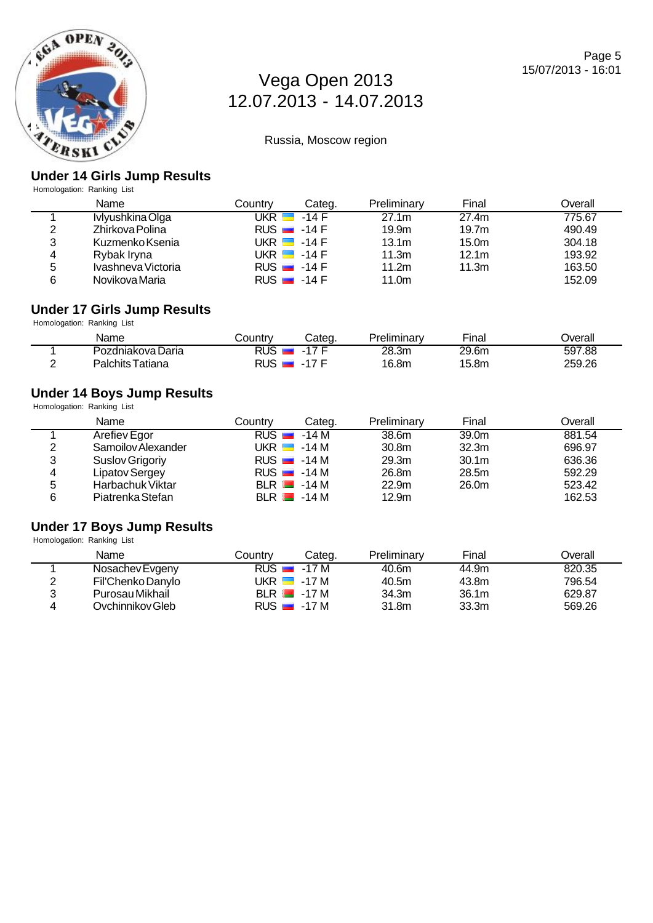

Russia, Moscow region

### **Under 14 Girls Jump Results**

Homologation: Ranking List

|   | Name               | Countrv      | Categ.                   | Preliminary       | Final             | Overall |
|---|--------------------|--------------|--------------------------|-------------------|-------------------|---------|
|   | Ivlyushkina Olga   | UKR <b>E</b> | -14 F                    | 27.1 <sub>m</sub> | 27.4m             | 775.67  |
| 2 | Zhirkova Polina    |              | RUS $-14F$               | 19.9 <sub>m</sub> | 19.7 <sub>m</sub> | 490.49  |
| 3 | Kuzmenko Ksenia    |              | UKR $\blacksquare$ -14 F | 13.1 <sub>m</sub> | 15.0 <sub>m</sub> | 304.18  |
| 4 | Rybak Iryna        |              | UKR $\blacksquare$ -14 F | 11.3m             | 12.1 <sub>m</sub> | 193.92  |
| 5 | Ivashneva Victoria |              | RUS $-14F$               | 11.2m             | 11.3m             | 163.50  |
| 6 | Novikova Maria     |              | RUS $-14F$               | 11.0m             |                   | 152.09  |

#### **Under 17 Girls Jump Results** Homologation: Ranking List

| . .               |            |            |             |                  |         |
|-------------------|------------|------------|-------------|------------------|---------|
| Name              | .ountryٽ   | Categ.     | Preliminary | -<br><b>Fina</b> | Jverall |
| Pozdniakova Daria | <b>RUS</b> | 17L<br>- 1 | 28.3m       | 29.6m            | 597.88  |
| Palchits Tatiana  | RUS.       | $-17$ F    | 16.8m       | 15.8m            | 259.26  |

## **Under 14 Boys Jump Results**

Homologation: Ranking List

|   | Name               | Countrv | Categ.                   | Preliminary       | Final             | Overall |
|---|--------------------|---------|--------------------------|-------------------|-------------------|---------|
|   | Arefiev Egor       |         | RUS $\blacksquare$ -14 M | 38.6m             | 39.0 <sub>m</sub> | 881.54  |
| 2 | Samoilov Alexander |         | UKR $\blacksquare$ -14 M | 30.8 <sub>m</sub> | 32.3 <sub>m</sub> | 696.97  |
| 3 | Suslov Grigoriy    |         | $RUS = -14 M$            | 29.3m             | 30.1 <sub>m</sub> | 636.36  |
| 4 | Lipatov Sergey     |         | $RUS = -14 M$            | 26.8m             | 28.5m             | 592.29  |
| 5 | Harbachuk Viktar   |         | $BLR$ $-14M$             | 22.9 <sub>m</sub> | 26.0m             | 523.42  |
| 6 | Piatrenka Stefan   |         | $BLR$ $-14M$             | 12.9 <sub>m</sub> |                   | 162.53  |

### **Under 17 Boys Jump Results**

Homologation: Ranking List

|   | Name              | Countrv | Cateɑ.                   | Preliminary | Final             | Overall |
|---|-------------------|---------|--------------------------|-------------|-------------------|---------|
|   | Nosachev Evgeny   |         | $RUS = 17 M$             | 40.6m       | 44.9m             | 820.35  |
| ◠ | Fil'Chenko Danylo |         | UKR $\blacksquare$ -17 M | 40.5m       | 43.8m             | 796.54  |
| 2 | Purosau Mikhail   |         | $BLR$ $-17M$             | 34.3m       | 36.1 <sub>m</sub> | 629.87  |
| 4 | Ovchinnikov Gleb  |         | RUS $-17M$               | 31.8m       | 33.3 <sub>m</sub> | 569.26  |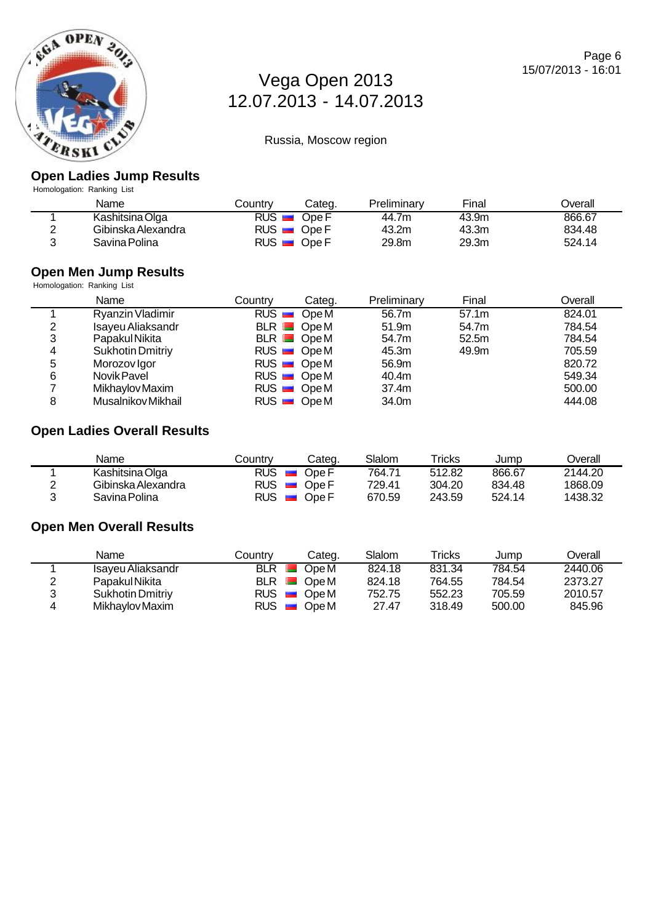

Russia, Moscow region

### **Open Ladies Jump Results**

Homologation: Ranking List

| Name               | Countr∨              | Categ.  | Preliminary | Final | ⊃verall |
|--------------------|----------------------|---------|-------------|-------|---------|
| Kashitsina Olga    | <b>RUS</b>           | Ope F   | 44.7m       | 43.9m | 866.67  |
| Gibinska Alexandra | $RUS$ $\blacksquare$ | ∡ Ope F | 43.2m       | 43.3m | 834.48  |
| Savina Polina      | $RUS$ $\blacksquare$ | Ope F   | 29.8m       | 29.3m | 524.14  |

#### **Open Men Jump Results**

| Homologation: Ranking List |                         |         |                             |             |       |         |
|----------------------------|-------------------------|---------|-----------------------------|-------------|-------|---------|
|                            | Name                    | Country | Categ.                      | Preliminary | Final | Overall |
|                            | Ryanzin Vladimir        |         | $RUS$ OpeM                  | 56.7m       | 57.1m | 824.01  |
| 2                          | Isayeu Aliaksandr       |         | $BLR$ $\blacksquare$ $OpeM$ | 51.9m       | 54.7m | 784.54  |
| 3                          | Papakul Nikita          |         | $BLR$ OpeM                  | 54.7m       | 52.5m | 784.54  |
| 4                          | <b>Sukhotin Dmitriy</b> |         | $RUS$ OpeM                  | 45.3m       | 49.9m | 705.59  |
| 5                          | Morozov Igor            |         | $RUS$ OpeM                  | 56.9m       |       | 820.72  |
| 6                          | Novik Pavel             |         | $RUS$ OpeM                  | 40.4m       |       | 549.34  |
|                            | Mikhaylov Maxim         |         | $RUS$ OpeM                  | 37.4m       |       | 500.00  |
| 8                          | Musalnikov Mikhail      |         | $RUS$ OpeM                  | 34.0m       |       | 444.08  |

# **Open Ladies Overall Results**

| Name               | Countrv              | Categ.  | Slalom | Tricks | Jump   | <b>Dverall</b> |
|--------------------|----------------------|---------|--------|--------|--------|----------------|
| Kashitsina Olga    | $RUS$ $\blacksquare$ | Ope F   | 764.71 | 512.82 | 866.67 | 2144.20        |
| Gibinska Alexandra | RUS <del>⊡</del>     | . Ope F | 729.41 | 304.20 | 834.48 | 1868.09        |
| Savina Polina      | $RUS$ $\blacksquare$ | Ope F   | 670.59 | 243.59 | 524.14 | 1438.32        |

### **Open Men Overall Results**

|   | Name                    | Countrv | Categ.                               | Slalom | Tricks | Jump   | Overall |
|---|-------------------------|---------|--------------------------------------|--------|--------|--------|---------|
|   | Isayeu Aliaksandr       | BLR     | Ope M                                | 824.18 | 831.34 | 784.54 | 2440.06 |
| ◠ | Papakul Nikita          |         | $BLR$ $\blacksquare$ $OpeM$          | 824.18 | 764.55 | 784.54 | 2373.27 |
| 3 | <b>Sukhotin Dmitriv</b> |         | $RUS$ $\blacksquare$ $\bigcirc$ De M | 752.75 | 552.23 | 705.59 | 2010.57 |
| 4 | Mikhaylov Maxim         |         | $RUS$ $\blacksquare$ $\bigcirc$ DeM  | 27.47  | 318.49 | 500.00 | 845.96  |